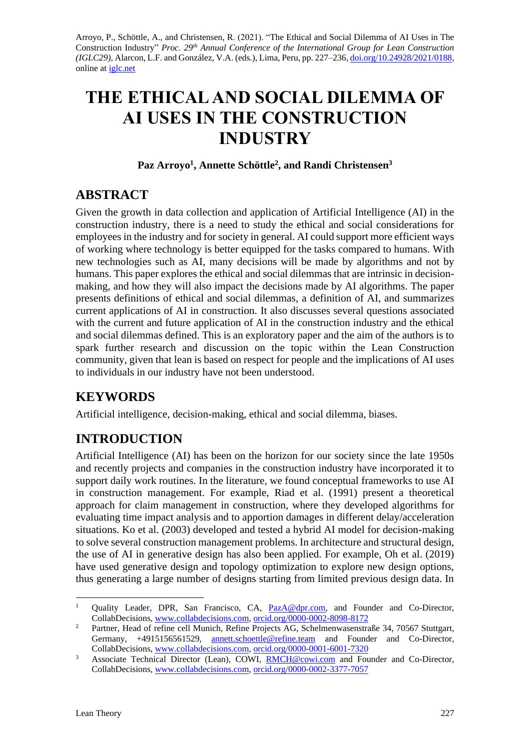Arroyo, P., Schöttle, A., and Christensen, R. (2021). "The Ethical and Social Dilemma of AI Uses in The Construction Industry" *Proc. 29th Annual Conference of the International Group for Lean Construction (IGLC29),* Alarcon, L.F. and González, V.A. (eds.)*,* Lima, Peru, pp. 227–236[, doi.org/10.24928/2021/0188,](https://doi.org/10.24928/2021/0188) online at [iglc.net](http://iglc.net/)

# **THE ETHICAL AND SOCIAL DILEMMA OF AI USES IN THE CONSTRUCTION INDUSTRY**

#### **Paz Arroyo<sup>1</sup> , Annette Schöttle<sup>2</sup> , and Randi Christensen<sup>3</sup>**

# **ABSTRACT**

Given the growth in data collection and application of Artificial Intelligence (AI) in the construction industry, there is a need to study the ethical and social considerations for employees in the industry and for society in general. AI could support more efficient ways of working where technology is better equipped for the tasks compared to humans. With new technologies such as AI, many decisions will be made by algorithms and not by humans. This paper explores the ethical and social dilemmas that are intrinsic in decisionmaking, and how they will also impact the decisions made by AI algorithms. The paper presents definitions of ethical and social dilemmas, a definition of AI, and summarizes current applications of AI in construction. It also discusses several questions associated with the current and future application of AI in the construction industry and the ethical and social dilemmas defined. This is an exploratory paper and the aim of the authors is to spark further research and discussion on the topic within the Lean Construction community, given that lean is based on respect for people and the implications of AI uses to individuals in our industry have not been understood.

# **KEYWORDS**

Artificial intelligence, decision-making, ethical and social dilemma, biases.

# **INTRODUCTION**

Artificial Intelligence (AI) has been on the horizon for our society since the late 1950s and recently projects and companies in the construction industry have incorporated it to support daily work routines. In the literature, we found conceptual frameworks to use AI in construction management. For example, Riad et al. (1991) present a theoretical approach for claim management in construction, where they developed algorithms for evaluating time impact analysis and to apportion damages in different delay/acceleration situations. Ko et al. (2003) developed and tested a hybrid AI model for decision-making to solve several construction management problems. In architecture and structural design, the use of AI in generative design has also been applied. For example, Oh et al. (2019) have used generative design and topology optimization to explore new design options, thus generating a large number of designs starting from limited previous design data. In

<sup>&</sup>lt;sup>1</sup> Quality Leader, DPR, San Francisco, CA, [PazA@dpr.com,](mailto:PazA@dpr.com) and Founder and Co-Director, CollabDecisions, [www.collabdecisions.com,](http://www.collabdecisions.com/) [orcid.org/0000-0002-8098-8172](http://orcid.org/0000-0002-8098-8172)

<sup>&</sup>lt;sup>2</sup> Partner, Head of refine cell Munich, Refine Projects AG, Schelmenwasenstraße 34, 70567 Stuttgart, Germany, +4915156561529, [annett.schoettle@refine.team](mailto:annett.schoettle@refine.team) and Founder and Co-Director, CollabDecisions, [www.collabdecisions.com,](http://www.collabdecisions.com/) [orcid.org/0000-0001-6001-7320](http://orcid.org/0000-0001-6001-7320)

<sup>&</sup>lt;sup>3</sup> Associate Technical Director (Lean), COWI, [RMCH@cowi.com](mailto:RMCH@cowi.com) and Founder and Co-Director, CollabDecisions, [www.collabdecisions.com,](http://www.collabdecisions.com/) [orcid.org/0000-0002-3377-7057](http://orcid.org/0000-0002-3377-7057)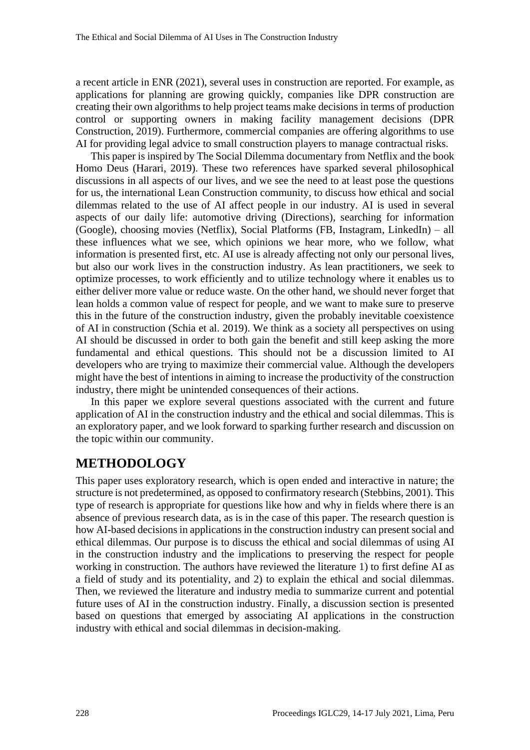a recent article in ENR (2021), several uses in construction are reported. For example, as applications for planning are growing quickly, companies like DPR construction are creating their own algorithms to help project teams make decisions in terms of production control or supporting owners in making facility management decisions (DPR Construction, 2019). Furthermore, commercial companies are offering algorithms to use AI for providing legal advice to small construction players to manage contractual risks.

This paper is inspired by The Social Dilemma documentary from Netflix and the book Homo Deus (Harari, 2019). These two references have sparked several philosophical discussions in all aspects of our lives, and we see the need to at least pose the questions for us, the international Lean Construction community, to discuss how ethical and social dilemmas related to the use of AI affect people in our industry. AI is used in several aspects of our daily life: automotive driving (Directions), searching for information (Google), choosing movies (Netflix), Social Platforms (FB, Instagram, LinkedIn) – all these influences what we see, which opinions we hear more, who we follow, what information is presented first, etc. AI use is already affecting not only our personal lives, but also our work lives in the construction industry. As lean practitioners, we seek to optimize processes, to work efficiently and to utilize technology where it enables us to either deliver more value or reduce waste. On the other hand, we should never forget that lean holds a common value of respect for people, and we want to make sure to preserve this in the future of the construction industry, given the probably inevitable coexistence of AI in construction (Schia et al. 2019). We think as a society all perspectives on using AI should be discussed in order to both gain the benefit and still keep asking the more fundamental and ethical questions. This should not be a discussion limited to AI developers who are trying to maximize their commercial value. Although the developers might have the best of intentions in aiming to increase the productivity of the construction industry, there might be unintended consequences of their actions.

In this paper we explore several questions associated with the current and future application of AI in the construction industry and the ethical and social dilemmas. This is an exploratory paper, and we look forward to sparking further research and discussion on the topic within our community.

### **METHODOLOGY**

This paper uses exploratory research, which is open ended and interactive in nature; the structure is not predetermined, as opposed to confirmatory research (Stebbins, 2001). This type of research is appropriate for questions like how and why in fields where there is an absence of previous research data, as is in the case of this paper. The research question is how AI-based decisions in applications in the construction industry can present social and ethical dilemmas. Our purpose is to discuss the ethical and social dilemmas of using AI in the construction industry and the implications to preserving the respect for people working in construction. The authors have reviewed the literature 1) to first define AI as a field of study and its potentiality, and 2) to explain the ethical and social dilemmas. Then, we reviewed the literature and industry media to summarize current and potential future uses of AI in the construction industry. Finally, a discussion section is presented based on questions that emerged by associating AI applications in the construction industry with ethical and social dilemmas in decision-making.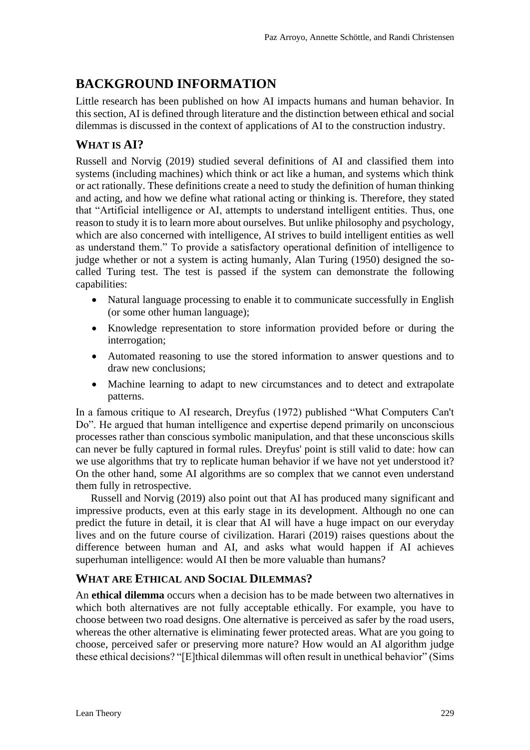# **BACKGROUND INFORMATION**

Little research has been published on how AI impacts humans and human behavior. In this section, AI is defined through literature and the distinction between ethical and social dilemmas is discussed in the context of applications of AI to the construction industry.

### **WHAT IS AI?**

Russell and Norvig (2019) studied several definitions of AI and classified them into systems (including machines) which think or act like a human, and systems which think or act rationally. These definitions create a need to study the definition of human thinking and acting, and how we define what rational acting or thinking is. Therefore, they stated that "Artificial intelligence or AI, attempts to understand intelligent entities. Thus, one reason to study it is to learn more about ourselves. But unlike philosophy and psychology, which are also concerned with intelligence, AI strives to build intelligent entities as well as understand them." To provide a satisfactory operational definition of intelligence to judge whether or not a system is acting humanly, Alan Turing (1950) designed the socalled Turing test. The test is passed if the system can demonstrate the following capabilities:

- Natural language processing to enable it to communicate successfully in English (or some other human language);
- Knowledge representation to store information provided before or during the interrogation;
- Automated reasoning to use the stored information to answer questions and to draw new conclusions;
- Machine learning to adapt to new circumstances and to detect and extrapolate patterns.

In a famous critique to AI research, Dreyfus (1972) published "What Computers Can't Do". He argued that human intelligence and expertise depend primarily on unconscious processes rather than conscious [symbolic](https://en.wikipedia.org/wiki/Physical_symbol_system) manipulation, and that these unconscious skills can never be fully captured in formal rules. Dreyfus' point is still valid to date: how can we use algorithms that try to replicate human behavior if we have not yet understood it? On the other hand, some AI algorithms are so complex that we cannot even understand them fully in retrospective.

Russell and Norvig (2019) also point out that AI has produced many significant and impressive products, even at this early stage in its development. Although no one can predict the future in detail, it is clear that AI will have a huge impact on our everyday lives and on the future course of civilization. Harari (2019) raises questions about the difference between human and AI, and asks what would happen if AI achieves superhuman intelligence: would AI then be more valuable than humans?

### **WHAT ARE ETHICAL AND SOCIAL DILEMMAS?**

An **ethical dilemma** occurs when a decision has to be made between two alternatives in which both alternatives are not fully acceptable ethically. For example, you have to choose between two road designs. One alternative is perceived as safer by the road users, whereas the other alternative is eliminating fewer protected areas. What are you going to choose, perceived safer or preserving more nature? How would an AI algorithm judge these ethical decisions? "[E]thical dilemmas will often result in unethical behavior" (Sims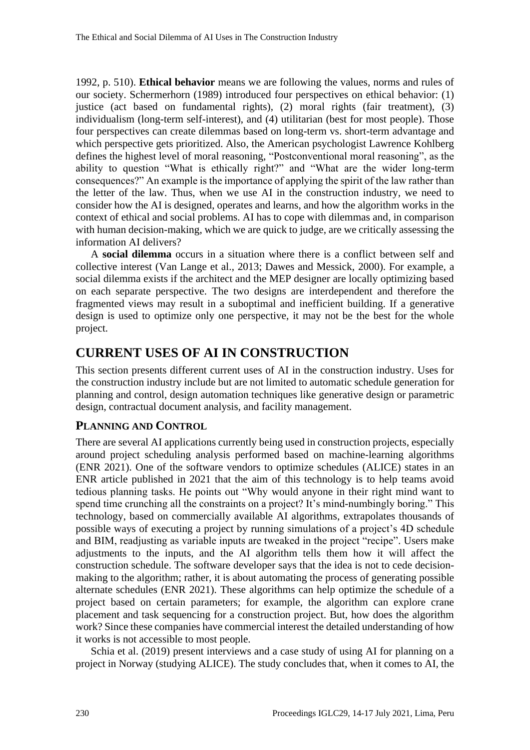1992, p. 510). **Ethical behavior** means we are following the values, norms and rules of our society. Schermerhorn (1989) introduced four perspectives on ethical behavior: (1) justice (act based on fundamental rights), (2) moral rights (fair treatment), (3) individualism (long-term self-interest), and (4) utilitarian (best for most people). Those four perspectives can create dilemmas based on long-term vs. short-term advantage and which perspective gets prioritized. Also, the American psychologist Lawrence Kohlberg defines the highest level of moral reasoning, "Postconventional moral reasoning", as the ability to question "What is ethically right?" and "What are the wider long-term consequences?" An example is the importance of applying the spirit of the law rather than the letter of the law. Thus, when we use AI in the construction industry, we need to consider how the AI is designed, operates and learns, and how the algorithm works in the context of ethical and social problems. AI has to cope with dilemmas and, in comparison with human decision-making, which we are quick to judge, are we critically assessing the information AI delivers?

A **social dilemma** occurs in a situation where there is a conflict between self and collective interest (Van Lange et al., 2013; Dawes and Messick, 2000). For example, a social dilemma exists if the architect and the MEP designer are locally optimizing based on each separate perspective. The two designs are interdependent and therefore the fragmented views may result in a suboptimal and inefficient building. If a generative design is used to optimize only one perspective, it may not be the best for the whole project.

# **CURRENT USES OF AI IN CONSTRUCTION**

This section presents different current uses of AI in the construction industry. Uses for the construction industry include but are not limited to automatic schedule generation for planning and control, design automation techniques like generative design or parametric design, contractual document analysis, and facility management.

#### **PLANNING AND CONTROL**

There are several AI applications currently being used in construction projects, especially around project scheduling analysis performed based on machine-learning algorithms (ENR 2021). One of the software vendors to optimize schedules (ALICE) states in an ENR article published in 2021 that the aim of this technology is to help teams avoid tedious planning tasks. He points out "Why would anyone in their right mind want to spend time crunching all the constraints on a project? It's mind-numbingly boring." This technology, based on commercially available AI algorithms, extrapolates thousands of possible ways of executing a project by running simulations of a project's 4D schedule and BIM, readjusting as variable inputs are tweaked in the project "recipe". Users make adjustments to the inputs, and the AI algorithm tells them how it will affect the construction schedule. The software developer says that the idea is not to cede decisionmaking to the algorithm; rather, it is about automating the process of generating possible alternate schedules (ENR 2021). These algorithms can help optimize the schedule of a project based on certain parameters; for example, the algorithm can explore crane placement and task sequencing for a construction project. But, how does the algorithm work? Since these companies have commercial interest the detailed understanding of how it works is not accessible to most people.

Schia et al. (2019) present interviews and a case study of using AI for planning on a project in Norway (studying ALICE). The study concludes that, when it comes to AI, the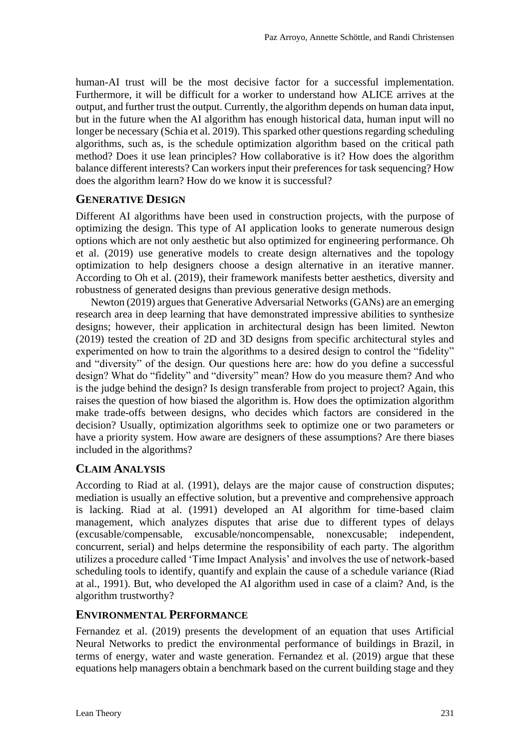human-AI trust will be the most decisive factor for a successful implementation. Furthermore, it will be difficult for a worker to understand how ALICE arrives at the output, and further trust the output. Currently, the algorithm depends on human data input, but in the future when the AI algorithm has enough historical data, human input will no longer be necessary (Schia et al. 2019). This sparked other questions regarding scheduling algorithms, such as, is the schedule optimization algorithm based on the critical path method? Does it use lean principles? How collaborative is it? How does the algorithm balance different interests? Can workers input their preferences for task sequencing? How does the algorithm learn? How do we know it is successful?

#### **GENERATIVE DESIGN**

Different AI algorithms have been used in construction projects, with the purpose of optimizing the design. This type of AI application looks to generate numerous design options which are not only aesthetic but also optimized for engineering performance. Oh et al. (2019) use generative models to create design alternatives and the topology optimization to help designers choose a design alternative in an iterative manner. According to Oh et al. (2019), their framework manifests better aesthetics, diversity and robustness of generated designs than previous generative design methods.

Newton (2019) argues that Generative Adversarial Networks (GANs) are an emerging research area in deep learning that have demonstrated impressive abilities to synthesize designs; however, their application in architectural design has been limited. Newton (2019) tested the creation of 2D and 3D designs from specific architectural styles and experimented on how to train the algorithms to a desired design to control the "fidelity" and "diversity" of the design. Our questions here are: how do you define a successful design? What do "fidelity" and "diversity" mean? How do you measure them? And who is the judge behind the design? Is design transferable from project to project? Again, this raises the question of how biased the algorithm is. How does the optimization algorithm make trade-offs between designs, who decides which factors are considered in the decision? Usually, optimization algorithms seek to optimize one or two parameters or have a priority system. How aware are designers of these assumptions? Are there biases included in the algorithms?

#### **CLAIM ANALYSIS**

According to Riad at al. (1991), delays are the major cause of construction disputes; mediation is usually an effective solution, but a preventive and comprehensive approach is lacking. Riad at al. (1991) developed an AI algorithm for time-based claim management, which analyzes disputes that arise due to different types of delays (excusable/compensable, excusable/noncompensable, nonexcusable; independent, concurrent, serial) and helps determine the responsibility of each party. The algorithm utilizes a procedure called 'Time Impact Analysis' and involves the use of network-based scheduling tools to identify, quantify and explain the cause of a schedule variance (Riad at al., 1991). But, who developed the AI algorithm used in case of a claim? And, is the algorithm trustworthy?

#### **ENVIRONMENTAL PERFORMANCE**

Fernandez et al. (2019) presents the development of an equation that uses Artificial Neural Networks to predict the environmental performance of buildings in Brazil, in terms of energy, water and waste generation. Fernandez et al. (2019) argue that these equations help managers obtain a benchmark based on the current building stage and they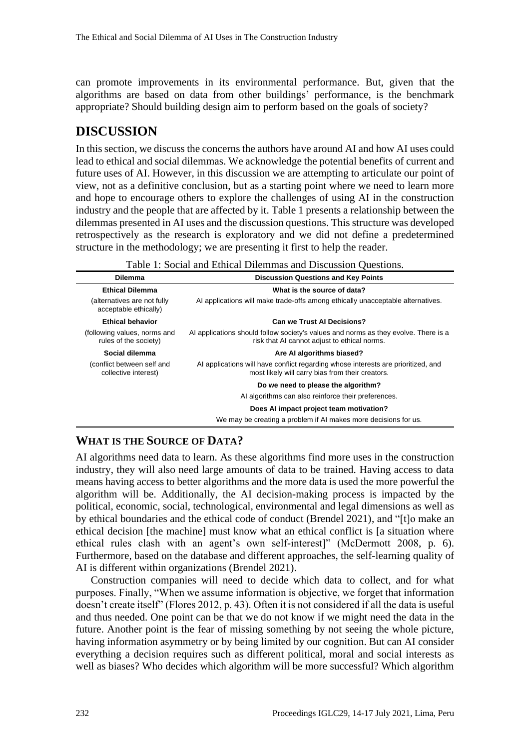can promote improvements in its environmental performance. But, given that the algorithms are based on data from other buildings' performance, is the benchmark appropriate? Should building design aim to perform based on the goals of society?

### **DISCUSSION**

In this section, we discuss the concerns the authors have around AI and how AI uses could lead to ethical and social dilemmas. We acknowledge the potential benefits of current and future uses of AI. However, in this discussion we are attempting to articulate our point of view, not as a definitive conclusion, but as a starting point where we need to learn more and hope to encourage others to explore the challenges of using AI in the construction industry and the people that are affected by it. Table 1 presents a relationship between the dilemmas presented in AI uses and the discussion questions. This structure was developed retrospectively as the research is exploratory and we did not define a predetermined structure in the methodology; we are presenting it first to help the reader.

| I able 1. Social and Edilcal Diffinitias and Discussion Ouestions. |                                                                                                                                       |
|--------------------------------------------------------------------|---------------------------------------------------------------------------------------------------------------------------------------|
| <b>Dilemma</b>                                                     | <b>Discussion Questions and Key Points</b>                                                                                            |
| <b>Ethical Dilemma</b>                                             | What is the source of data?                                                                                                           |
| (alternatives are not fully<br>acceptable ethically)               | Al applications will make trade-offs among ethically unacceptable alternatives.                                                       |
| <b>Ethical behavior</b>                                            | <b>Can we Trust AI Decisions?</b>                                                                                                     |
| (following values, norms and<br>rules of the society)              | Al applications should follow society's values and norms as they evolve. There is a<br>risk that AI cannot adjust to ethical norms.   |
| Social dilemma                                                     | Are AI algorithms biased?                                                                                                             |
| (conflict between self and<br>collective interest)                 | Al applications will have conflict regarding whose interests are prioritized, and<br>most likely will carry bias from their creators. |
|                                                                    | Do we need to please the algorithm?                                                                                                   |
|                                                                    | AI algorithms can also reinforce their preferences.                                                                                   |
|                                                                    | Does AI impact project team motivation?                                                                                               |
|                                                                    | We may be creating a problem if AI makes more decisions for us.                                                                       |

#### **WHAT IS THE SOURCE OF DATA?**

AI algorithms need data to learn. As these algorithms find more uses in the construction industry, they will also need large amounts of data to be trained. Having access to data means having access to better algorithms and the more data is used the more powerful the algorithm will be. Additionally, the AI decision-making process is impacted by the political, economic, social, technological, environmental and legal dimensions as well as by ethical boundaries and the ethical code of conduct (Brendel 2021), and "[t]o make an ethical decision [the machine] must know what an ethical conflict is [a situation where ethical rules clash with an agent's own self-interest]" (McDermott 2008, p. 6). Furthermore, based on the database and different approaches, the self-learning quality of AI is different within organizations (Brendel 2021).

Construction companies will need to decide which data to collect, and for what purposes. Finally, "When we assume information is objective, we forget that information doesn't create itself" (Flores 2012, p. 43). Often it is not considered if all the data is useful and thus needed. One point can be that we do not know if we might need the data in the future. Another point is the fear of missing something by not seeing the whole picture, having information asymmetry or by being limited by our cognition. But can AI consider everything a decision requires such as different political, moral and social interests as well as biases? Who decides which algorithm will be more successful? Which algorithm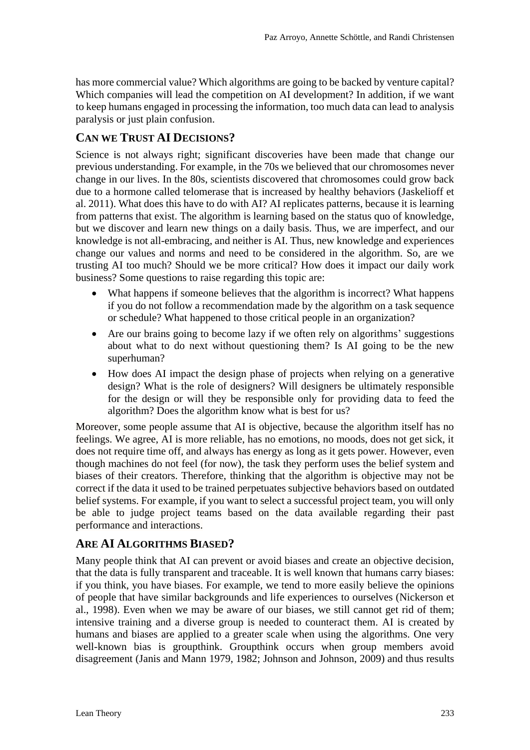has more commercial value? Which algorithms are going to be backed by venture capital? Which companies will lead the competition on AI development? In addition, if we want to keep humans engaged in processing the information, too much data can lead to analysis paralysis or just plain confusion.

### **CAN WE TRUST AI DECISIONS?**

Science is not always right; significant discoveries have been made that change our previous understanding. For example, in the 70s we believed that our chromosomes never change in our lives. In the 80s, scientists discovered that chromosomes could grow back due to a hormone called telomerase that is increased by healthy behaviors (Jaskelioff et al. 2011). What does this have to do with AI? AI replicates patterns, because it is learning from patterns that exist. The algorithm is learning based on the status quo of knowledge, but we discover and learn new things on a daily basis. Thus, we are imperfect, and our knowledge is not all-embracing, and neither is AI. Thus, new knowledge and experiences change our values and norms and need to be considered in the algorithm. So, are we trusting AI too much? Should we be more critical? How does it impact our daily work business? Some questions to raise regarding this topic are:

- What happens if someone believes that the algorithm is incorrect? What happens if you do not follow a recommendation made by the algorithm on a task sequence or schedule? What happened to those critical people in an organization?
- Are our brains going to become lazy if we often rely on algorithms' suggestions about what to do next without questioning them? Is AI going to be the new superhuman?
- How does AI impact the design phase of projects when relying on a generative design? What is the role of designers? Will designers be ultimately responsible for the design or will they be responsible only for providing data to feed the algorithm? Does the algorithm know what is best for us?

Moreover, some people assume that AI is objective, because the algorithm itself has no feelings. We agree, AI is more reliable, has no emotions, no moods, does not get sick, it does not require time off, and always has energy as long as it gets power. However, even though machines do not feel (for now), the task they perform uses the belief system and biases of their creators. Therefore, thinking that the algorithm is objective may not be correct if the data it used to be trained perpetuates subjective behaviors based on outdated belief systems. For example, if you want to select a successful project team, you will only be able to judge project teams based on the data available regarding their past performance and interactions.

#### **ARE AI ALGORITHMS BIASED?**

Many people think that AI can prevent or avoid biases and create an objective decision, that the data is fully transparent and traceable. It is well known that humans carry biases: if you think, you have biases. For example, we tend to more easily believe the opinions of people that have similar backgrounds and life experiences to ourselves (Nickerson et al., 1998). Even when we may be aware of our biases, we still cannot get rid of them; intensive training and a diverse group is needed to counteract them. AI is created by humans and biases are applied to a greater scale when using the algorithms. One very well-known bias is groupthink. Groupthink occurs when group members avoid disagreement (Janis and Mann 1979, 1982; Johnson and Johnson, 2009) and thus results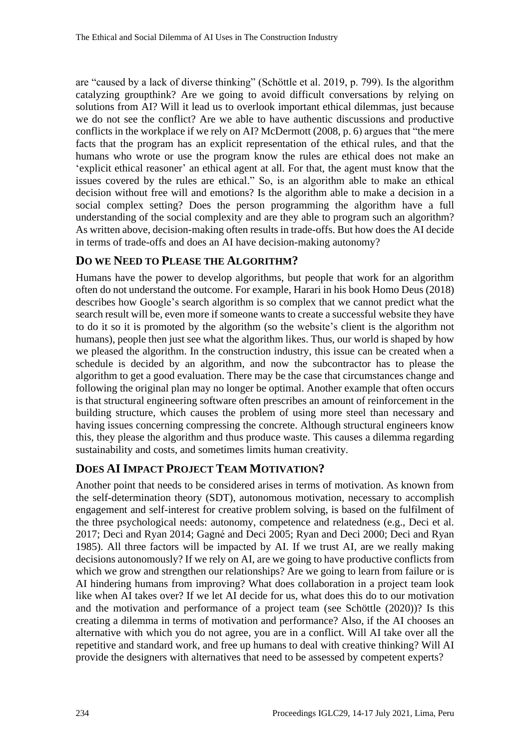are "caused by a lack of diverse thinking" (Schöttle et al. 2019, p. 799). Is the algorithm catalyzing groupthink? Are we going to avoid difficult conversations by relying on solutions from AI? Will it lead us to overlook important ethical dilemmas, just because we do not see the conflict? Are we able to have authentic discussions and productive conflicts in the workplace if we rely on AI? McDermott (2008, p. 6) argues that "the mere facts that the program has an explicit representation of the ethical rules, and that the humans who wrote or use the program know the rules are ethical does not make an 'explicit ethical reasoner' an ethical agent at all. For that, the agent must know that the issues covered by the rules are ethical." So, is an algorithm able to make an ethical decision without free will and emotions? Is the algorithm able to make a decision in a social complex setting? Does the person programming the algorithm have a full understanding of the social complexity and are they able to program such an algorithm? As written above, decision-making often results in trade-offs. But how does the AI decide in terms of trade-offs and does an AI have decision-making autonomy?

#### **DO WE NEED TO PLEASE THE ALGORITHM?**

Humans have the power to develop algorithms, but people that work for an algorithm often do not understand the outcome. For example, Harari in his book Homo Deus (2018) describes how Google's search algorithm is so complex that we cannot predict what the search result will be, even more if someone wants to create a successful website they have to do it so it is promoted by the algorithm (so the website's client is the algorithm not humans), people then just see what the algorithm likes. Thus, our world is shaped by how we pleased the algorithm. In the construction industry, this issue can be created when a schedule is decided by an algorithm, and now the subcontractor has to please the algorithm to get a good evaluation. There may be the case that circumstances change and following the original plan may no longer be optimal. Another example that often occurs is that structural engineering software often prescribes an amount of reinforcement in the building structure, which causes the problem of using more steel than necessary and having issues concerning compressing the concrete. Although structural engineers know this, they please the algorithm and thus produce waste. This causes a dilemma regarding sustainability and costs, and sometimes limits human creativity.

### **DOES AI IMPACT PROJECT TEAM MOTIVATION?**

Another point that needs to be considered arises in terms of motivation. As known from the self-determination theory (SDT), autonomous motivation, necessary to accomplish engagement and self-interest for creative problem solving, is based on the fulfilment of the three psychological needs: autonomy, competence and relatedness (e.g., Deci et al. 2017; Deci and Ryan 2014; Gagné and Deci 2005; Ryan and Deci 2000; Deci and Ryan 1985). All three factors will be impacted by AI. If we trust AI, are we really making decisions autonomously? If we rely on AI, are we going to have productive conflicts from which we grow and strengthen our relationships? Are we going to learn from failure or is AI hindering humans from improving? What does collaboration in a project team look like when AI takes over? If we let AI decide for us, what does this do to our motivation and the motivation and performance of a project team (see Schöttle (2020))? Is this creating a dilemma in terms of motivation and performance? Also, if the AI chooses an alternative with which you do not agree, you are in a conflict. Will AI take over all the repetitive and standard work, and free up humans to deal with creative thinking? Will AI provide the designers with alternatives that need to be assessed by competent experts?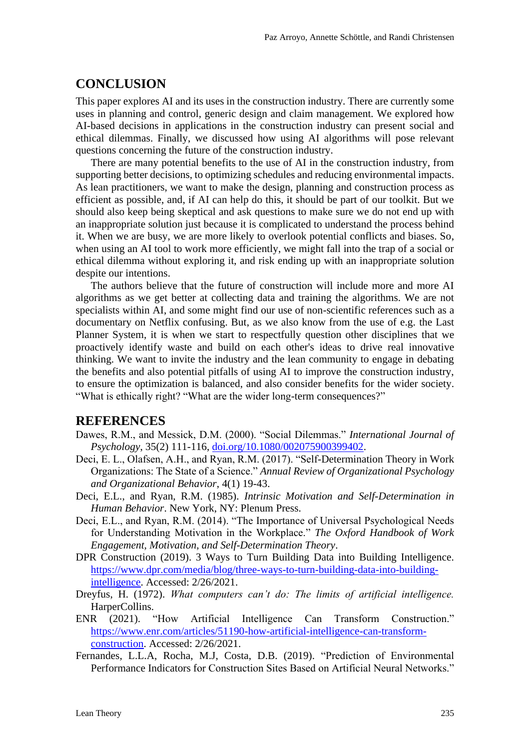#### **CONCLUSION**

This paper explores AI and its uses in the construction industry. There are currently some uses in planning and control, generic design and claim management. We explored how AI-based decisions in applications in the construction industry can present social and ethical dilemmas. Finally, we discussed how using AI algorithms will pose relevant questions concerning the future of the construction industry.

There are many potential benefits to the use of AI in the construction industry, from supporting better decisions, to optimizing schedules and reducing environmental impacts. As lean practitioners, we want to make the design, planning and construction process as efficient as possible, and, if AI can help do this, it should be part of our toolkit. But we should also keep being skeptical and ask questions to make sure we do not end up with an inappropriate solution just because it is complicated to understand the process behind it. When we are busy, we are more likely to overlook potential conflicts and biases. So, when using an AI tool to work more efficiently, we might fall into the trap of a social or ethical dilemma without exploring it, and risk ending up with an inappropriate solution despite our intentions.

The authors believe that the future of construction will include more and more AI algorithms as we get better at collecting data and training the algorithms. We are not specialists within AI, and some might find our use of non-scientific references such as a documentary on Netflix confusing. But, as we also know from the use of e.g. the Last Planner System, it is when we start to respectfully question other disciplines that we proactively identify waste and build on each other's ideas to drive real innovative thinking. We want to invite the industry and the lean community to engage in debating the benefits and also potential pitfalls of using AI to improve the construction industry, to ensure the optimization is balanced, and also consider benefits for the wider society. "What is ethically right? "What are the wider long-term consequences?"

#### **REFERENCES**

- Dawes, R.M., and Messick, D.M. (2000). "Social Dilemmas." *International Journal of Psychology*, 35(2) 111-116, [doi.org/10.1080/002075900399402.](http://doi.org/10.1080/002075900399402)
- Deci, E. L., Olafsen, A.H., and Ryan, R.M. (2017). "Self-Determination Theory in Work Organizations: The State of a Science." *Annual Review of Organizational Psychology and Organizational Behavior*, 4(1) 19-43.
- Deci, E.L., and Ryan, R.M. (1985). *Intrinsic Motivation and Self-Determination in Human Behavior*. New York, NY: Plenum Press.
- Deci, E.L., and Ryan, R.M. (2014). "The Importance of Universal Psychological Needs for Understanding Motivation in the Workplace." *The Oxford Handbook of Work Engagement, Motivation, and Self-Determination Theory*.
- DPR Construction (2019). 3 Ways to Turn Building Data into Building Intelligence. [https://www.dpr.com/media/blog/three-ways-to-turn-building-data-into-building](https://www.dpr.com/media/blog/three-ways-to-turn-building-data-into-building-intelligence)[intelligence.](https://www.dpr.com/media/blog/three-ways-to-turn-building-data-into-building-intelligence) Accessed: 2/26/2021.
- Dreyfus, H. (1972). *What computers can't do: The limits of artificial intelligence.* HarperCollins.
- ENR (2021). "How Artificial Intelligence Can Transform Construction." [https://www.enr.com/articles/51190-how-artificial-intelligence-can-transform](https://www.enr.com/articles/51190-how-artificial-intelligence-can-transform-construction)[construction.](https://www.enr.com/articles/51190-how-artificial-intelligence-can-transform-construction) Accessed: 2/26/2021.
- Fernandes, L.L.A, Rocha, M.J, Costa, D.B. (2019). "Prediction of Environmental Performance Indicators for Construction Sites Based on Artificial Neural Networks."